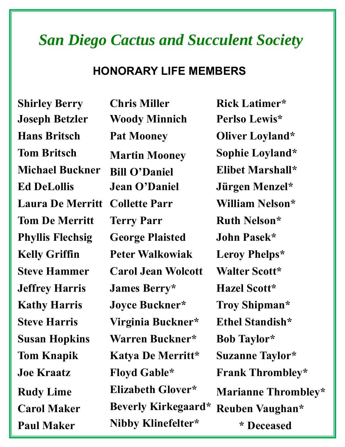#### *San Diego Cactus and Succulent Society*

#### **HONORARY LIFE MEMBERS**

**Joseph Betzler Woody Minnich Perlso Lewis\* Hans Britsch Pat Mooney Oliver Loyland\***  Tom Britsch Martin Mooney Sophie Loyland\* **Michael Buckner Bill O'Daniel Elibet Marshall\* Ed DeLollis Jean O'Daniel Jürgen Menzel\* Laura De Merritt Collette Parr William Nelson\* Tom De Merritt** Terry Parr **Ruth Nelson\* Phyllis Flechsig George Plaisted John Pasek\* Kelly Griffin Peter Walkowiak Leroy Phelps\* Steve Hammer Carol Jean Wolcott Walter Scott\* Jeffrey Harris James Berry\* Hazel Scott\* Kathy Harris Joyce Buckner\* Troy Shipman\* Steve Harris Virginia Buckner\* Ethel Standish\* Susan Hopkins Warren Buckner\* Bob Taylor\* Tom Knapik Katya De Merritt\* Suzanne Taylor\* Paul Maker Nibby Klinefelter\* \* Deceased** 

**Shirley Berry Chris Miller Rick Latimer\* Joe Kraatz Floyd Gable\* Frank Thrombley\* Rudy Lime Elizabeth Glover\* Marianne Thrombley\* Carol Maker Beverly Kirkegaard\* Reuben Vaughan\***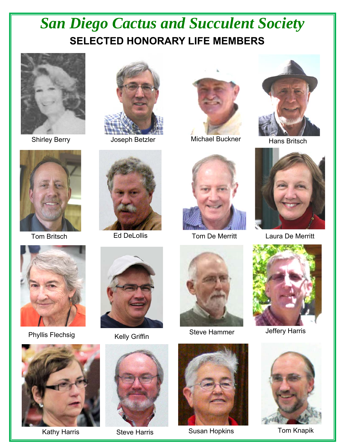# *San Diego Cactus and Succulent Society*  **SELECTED HONORARY LIFE MEMBERS**



Shirley Berry



Tom Britsch







Joseph Betzler Michael Buckner





Jeffery Harris





Kathy Harris **Steve Harris** Susan Hopkins Tom Knapik





Phyllis Flechsig





Steve Hammer Kelly Griffin





Hans Britsch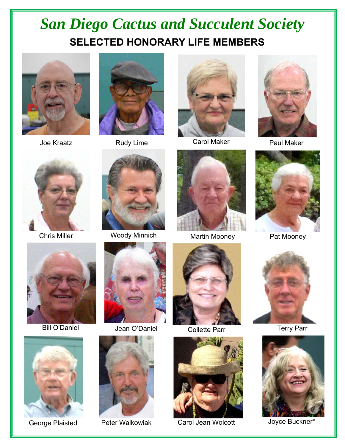### *San Diego Cactus and Succulent Society*  **SELECTED HONORARY LIFE MEMBERS**













Chris Miller Woody Minnich







Martin Mooney Pat Mooney



**Collette Parr Terry Parr** 



Peter Walkowiak Carol Jean Wolcott Molocott Joyce Buckner\*









Bill O'Daniel Jean O'Daniel



George Plaisted